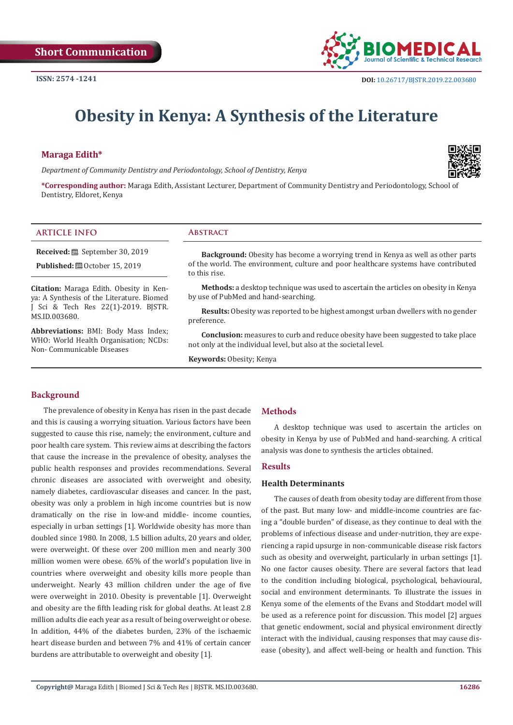

# **Obesity in Kenya: A Synthesis of the Literature**

# **Maraga Edith\***

*Department of Community Dentistry and Periodontology, School of Dentistry, Kenya*



**\*Corresponding author:** Maraga Edith, Assistant Lecturer, Department of Community Dentistry and Periodontology, School of Dentistry, Eldoret, Kenya

### **ARTICLE INFO Abstract**

**Received:** September 30, 2019 **Published: @** October 15, 2019

**Citation:** Maraga Edith. Obesity in Kenya: A Synthesis of the Literature. Biomed J Sci & Tech Res 22(1)-2019. BJSTR. MS.ID.003680.

**Abbreviations:** BMI: Body Mass Index; WHO: World Health Organisation; NCDs: Non- Communicable Diseases

**Background:** Obesity has become a worrying trend in Kenya as well as other parts of the world. The environment, culture and poor healthcare systems have contributed to this rise.

**Methods:** a desktop technique was used to ascertain the articles on obesity in Kenya by use of PubMed and hand-searching.

**Results:** Obesity was reported to be highest amongst urban dwellers with no gender preference.

**Conclusion:** measures to curb and reduce obesity have been suggested to take place not only at the individual level, but also at the societal level.

**Keywords:** Obesity; Kenya

## **Background**

The prevalence of obesity in Kenya has risen in the past decade and this is causing a worrying situation. Various factors have been suggested to cause this rise, namely; the environment, culture and poor health care system. This review aims at describing the factors that cause the increase in the prevalence of obesity, analyses the public health responses and provides recommendations. Several chronic diseases are associated with overweight and obesity, namely diabetes, cardiovascular diseases and cancer. In the past, obesity was only a problem in high income countries but is now dramatically on the rise in low-and middle- income counties, especially in urban settings [1]. Worldwide obesity has more than doubled since 1980. In 2008, 1.5 billion adults, 20 years and older, were overweight. Of these over 200 million men and nearly 300 million women were obese. 65% of the world's population live in countries where overweight and obesity kills more people than underweight. Nearly 43 million children under the age of five were overweight in 2010. Obesity is preventable [1]. Overweight and obesity are the fifth leading risk for global deaths. At least 2.8 million adults die each year as a result of being overweight or obese. In addition, 44% of the diabetes burden, 23% of the ischaemic heart disease burden and between 7% and 41% of certain cancer burdens are attributable to overweight and obesity [1].

### **Methods**

A desktop technique was used to ascertain the articles on obesity in Kenya by use of PubMed and hand-searching. A critical analysis was done to synthesis the articles obtained.

### **Results**

#### **Health Determinants**

The causes of death from obesity today are different from those of the past. But many low- and middle-income countries are facing a "double burden" of disease, as they continue to deal with the problems of infectious disease and under-nutrition, they are experiencing a rapid upsurge in non-communicable disease risk factors such as obesity and overweight, particularly in urban settings [1]. No one factor causes obesity. There are several factors that lead to the condition including biological, psychological, behavioural, social and environment determinants. To illustrate the issues in Kenya some of the elements of the Evans and Stoddart model will be used as a reference point for discussion. This model [2] argues that genetic endowment, social and physical environment directly interact with the individual, causing responses that may cause disease (obesity), and affect well-being or health and function. This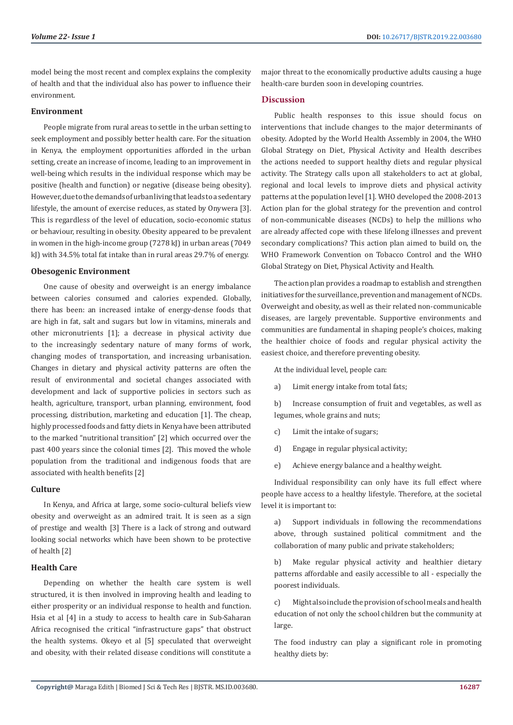model being the most recent and complex explains the complexity of health and that the individual also has power to influence their environment.

#### **Environment**

People migrate from rural areas to settle in the urban setting to seek employment and possibly better health care. For the situation in Kenya, the employment opportunities afforded in the urban setting, create an increase of income, leading to an improvement in well-being which results in the individual response which may be positive (health and function) or negative (disease being obesity). However, due to the demands of urban living that leads to a sedentary lifestyle, the amount of exercise reduces, as stated by Onywera [3]. This is regardless of the level of education, socio-economic status or behaviour, resulting in obesity. Obesity appeared to be prevalent in women in the high-income group (7278 kJ) in urban areas (7049 kJ) with 34.5% total fat intake than in rural areas 29.7% of energy.

#### **Obesogenic Environment**

One cause of obesity and overweight is an energy imbalance between calories consumed and calories expended. Globally, there has been: an increased intake of energy-dense foods that are high in fat, salt and sugars but low in vitamins, minerals and other micronutrients [1]; a decrease in physical activity due to the increasingly sedentary nature of many forms of work, changing modes of transportation, and increasing urbanisation. Changes in dietary and physical activity patterns are often the result of environmental and societal changes associated with development and lack of supportive policies in sectors such as health, agriculture, transport, urban planning, environment, food processing, distribution, marketing and education [1]. The cheap, highly processed foods and fatty diets in Kenya have been attributed to the marked "nutritional transition" [2] which occurred over the past 400 years since the colonial times [2]. This moved the whole population from the traditional and indigenous foods that are associated with health benefits [2]

#### **Culture**

In Kenya, and Africa at large, some socio-cultural beliefs view obesity and overweight as an admired trait. It is seen as a sign of prestige and wealth [3] There is a lack of strong and outward looking social networks which have been shown to be protective of health [2]

#### **Health Care**

Depending on whether the health care system is well structured, it is then involved in improving health and leading to either prosperity or an individual response to health and function. Hsia et al [4] in a study to access to health care in Sub-Saharan Africa recognised the critical "infrastructure gaps" that obstruct the health systems. Okeyo et al [5] speculated that overweight and obesity, with their related disease conditions will constitute a

major threat to the economically productive adults causing a huge health-care burden soon in developing countries.

#### **Discussion**

Public health responses to this issue should focus on interventions that include changes to the major determinants of obesity. Adopted by the World Health Assembly in 2004, the WHO Global Strategy on Diet, Physical Activity and Health describes the actions needed to support healthy diets and regular physical activity. The Strategy calls upon all stakeholders to act at global, regional and local levels to improve diets and physical activity patterns at the population level [1]. WHO developed the 2008-2013 Action plan for the global strategy for the prevention and control of non-communicable diseases (NCDs) to help the millions who are already affected cope with these lifelong illnesses and prevent secondary complications? This action plan aimed to build on, the WHO Framework Convention on Tobacco Control and the WHO Global Strategy on Diet, Physical Activity and Health.

The action plan provides a roadmap to establish and strengthen initiatives for the surveillance, prevention and management of NCDs. Overweight and obesity, as well as their related non-communicable diseases, are largely preventable. Supportive environments and communities are fundamental in shaping people's choices, making the healthier choice of foods and regular physical activity the easiest choice, and therefore preventing obesity.

At the individual level, people can:

a) Limit energy intake from total fats;

b) Increase consumption of fruit and vegetables, as well as legumes, whole grains and nuts;

- c) Limit the intake of sugars;
- d) Engage in regular physical activity;
- e) Achieve energy balance and a healthy weight.

Individual responsibility can only have its full effect where people have access to a healthy lifestyle. Therefore, at the societal level it is important to:

a) Support individuals in following the recommendations above, through sustained political commitment and the collaboration of many public and private stakeholders;

b) Make regular physical activity and healthier dietary patterns affordable and easily accessible to all - especially the poorest individuals.

c) Might also include the provision of school meals and health education of not only the school children but the community at large.

The food industry can play a significant role in promoting healthy diets by: